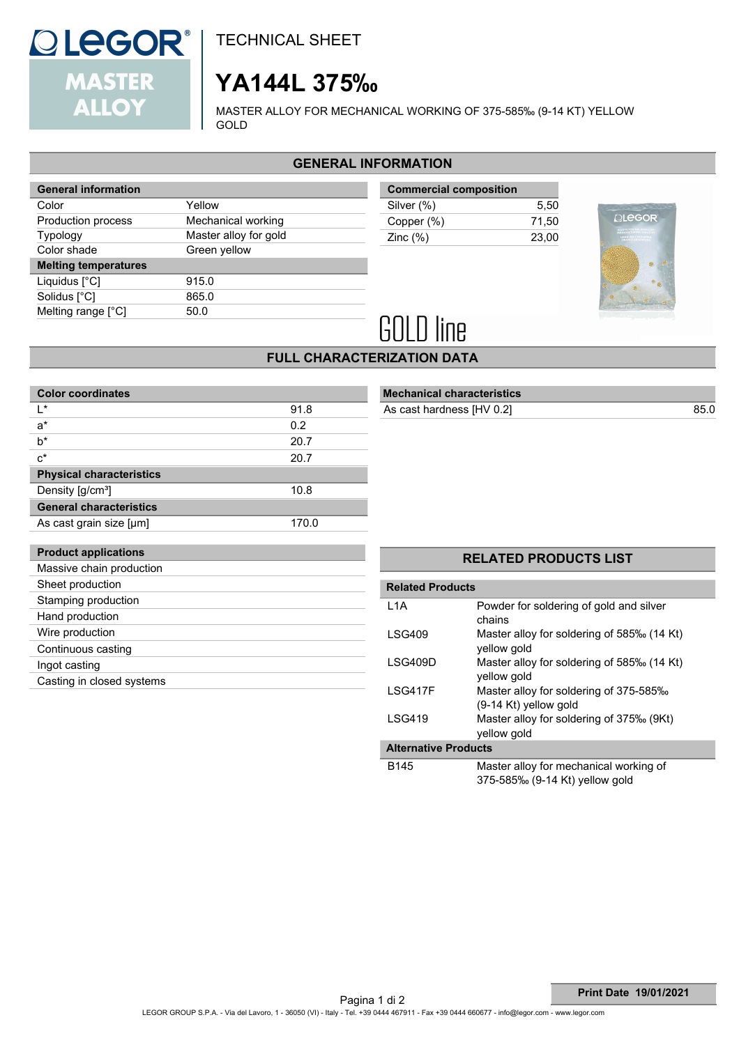

## **YA144L 375‰**

MASTER ALLOY FOR MECHANICAL WORKING OF 375-585‰ (9-14 KT) YELLOW GOLD

## **GENERAL INFORMATION**

| <b>General information</b>  |                       |  |
|-----------------------------|-----------------------|--|
| Color                       | Yellow                |  |
| Production process          | Mechanical working    |  |
| <b>Typology</b>             | Master alloy for gold |  |
| Color shade                 | Green yellow          |  |
|                             |                       |  |
| <b>Melting temperatures</b> |                       |  |
| Liquidus [°C]               | 915.0                 |  |
| Solidus [°C]                | 865.0                 |  |
| Melting range $[^{\circ}C]$ | 50.0                  |  |

| <b>Commercial composition</b> |       |
|-------------------------------|-------|
| Silver (%)                    | 5.50  |
| Copper (%)                    | 71.50 |
| Zinc $(\%)$                   | 23.00 |
|                               |       |



# **GOLD line**

## **FULL CHARACTERIZATION DATA**

| <b>Color coordinates</b>        |       |  |  |
|---------------------------------|-------|--|--|
| ı∗                              | 91.8  |  |  |
| $a^*$                           | 0.2   |  |  |
| h*                              | 20.7  |  |  |
| $c^*$                           | 20.7  |  |  |
| <b>Physical characteristics</b> |       |  |  |
| Density [g/cm <sup>3</sup> ]    | 10.8  |  |  |
| <b>General characteristics</b>  |       |  |  |
| As cast grain size [µm]         | 170.0 |  |  |
|                                 |       |  |  |

## **Mechanical characteristics**

As cast hardness  $[HV 0.2]$ 

| <b>Product applications</b> |
|-----------------------------|
| Massive chain production    |
| Sheet production            |
| Stamping production         |
| Hand production             |
| Wire production             |
| Continuous casting          |
| Ingot casting               |
| Casting in closed systems   |
|                             |

## **RELATED PRODUCTS LIST**

| <b>Related Products</b>     |                                                                          |  |  |
|-----------------------------|--------------------------------------------------------------------------|--|--|
| L <sub>1</sub> A            | Powder for soldering of gold and silver<br>chains                        |  |  |
| LSG409                      | Master alloy for soldering of 585‰ (14 Kt)<br>yellow gold                |  |  |
| LSG409D                     | Master alloy for soldering of 585‰ (14 Kt)<br>yellow gold                |  |  |
| LSG417F                     | Master alloy for soldering of 375-585‰<br>$(9-14$ Kt) yellow gold        |  |  |
| <b>LSG419</b>               | Master alloy for soldering of 375‰ (9Kt)<br>yellow gold                  |  |  |
| <b>Alternative Products</b> |                                                                          |  |  |
| B145                        | Master alloy for mechanical working of<br>375-585‰ (9-14 Kt) yellow gold |  |  |